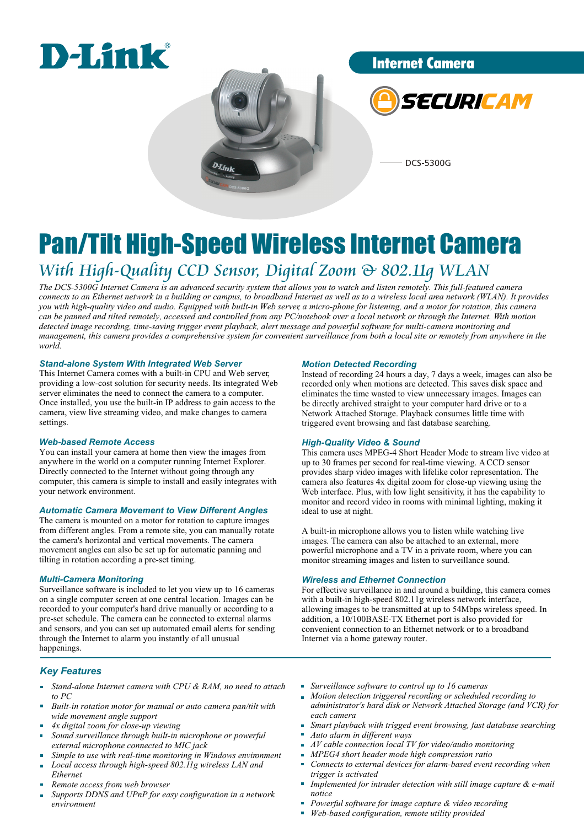

Internet Camera



DCS-5300G

### Pan/Tilt High-Speed Wireless Internet Camera *With High-Quality CCD Sensor, Digital Zoom & 802.11g WLAN*

*The DCS-5300G Internet Camera is an advanced security system that allows you to watch and listen remotely. This full-featured camera connects to an Ethernet network in a building or campus, to broadband Internet as well as to a wireless local area network (WLAN). It provides you with high-quality video and audio. Equipped with built-in Web server, a micro-phone for listening, and a motor for rotation, this camera can be panned and tilted remotely, accessed and controlled from any PC/notebook over a local network or through the Internet. With motion detected image recording, time-saving trigger event playback, alert message and powerful software for multi-camera monitoring and management, this camera provides a comprehensive system for convenient surveillance from both a local site or remotely from anywhere in the world.* 

### *Stand-alone System With Integrated Web Server*

This Internet Camera comes with a built-in CPU and Web server, providing a low-cost solution for security needs. Its integrated Web server eliminates the need to connect the camera to a computer. Once installed, you use the built-in IP address to gain access to the camera, view live streaming video, and make changes to camera settings.

### *Web-based Remote Access*

You can install your camera at home then view the images from anywhere in the world on a computer running Internet Explorer. Directly connected to the Internet without going through any computer, this camera is simple to install and easily integrates with your network environment.

### *Automatic Camera Movement to View Different Angles*

The camera is mounted on a motor for rotation to capture images from different angles. From a remote site, you can manually rotate the camera's horizontal and vertical movements. The camera movement angles can also be set up for automatic panning and tilting in rotation according a pre-set timing.

### *Multi-Camera Monitoring*

Surveillance software is included to let you view up to 16 cameras on a single computer screen at one central location. Images can be recorded to your computer's hard drive manually or according to a pre-set schedule. The camera can be connected to external alarms and sensors, and you can set up automated email alerts for sending through the Internet to alarm you instantly of all unusual happenings.

### *Motion Detected Recording*

Instead of recording 24 hours a day, 7 days a week, images can also be recorded only when motions are detected. This saves disk space and eliminates the time wasted to view unnecessary images. Images can be directly archived straight to your computer hard drive or to a Network Attached Storage. Playback consumes little time with triggered event browsing and fast database searching.

### *High-Quality Video & Sound*

This camera uses MPEG-4 Short Header Mode to stream live video at up to 30 frames per second for real-time viewing. A CCD sensor provides sharp video images with lifelike color representation. The camera also features 4x digital zoom for close-up viewing using the Web interface. Plus, with low light sensitivity, it has the capability to monitor and record video in rooms with minimal lighting, making it ideal to use at night.

A built-in microphone allows you to listen while watching live images. The camera can also be attached to an external, more powerful microphone and a TV in a private room, where you can monitor streaming images and listen to surveillance sound.

### *Wireless and Ethernet Connection*

For effective surveillance in and around a building, this camera comes with a built-in high-speed 802.11g wireless network interface, allowing images to be transmitted at up to 54Mbps wireless speed. In addition, a 10/100BASE-TX Ethernet port is also provided for convenient connection to an Ethernet network or to a broadband Internet via a home gateway router.

### *Key Features*

- *Stand-alone Internet camera with CPU & RAM, no need to attach to PC*
- *Built-in rotation motor for manual or auto camera pan/tilt with wide movement angle support*
- *4x digital zoom for close-up viewing*
- *Sound surveillance through built-in microphone or powerful external microphone connected to MIC jack*
- *Simple to use with real-time monitoring in Windows environment Local access through high-speed 802.11g wireless LAN and*
- *Ethernet*
- *Remote access from web browser*
- *Supports DDNS and UPnP for easy configuration in a network environment*
- *Surveillance software to control up to 16 cameras*
- *Motion detection triggered recording or scheduled recording to administrator's hard disk or Network Attached Storage (and VCR) for each camera*
- *Smart playback with trigged event browsing, fast database searching*
- *Auto alarm in different ways*
- à. *AV cable connection local TV for video/audio monitoring*
- *MPEG4 short header mode high compression ratio Connects to external devices for alarm-based event recording when trigger is activated*
- *Implemented for intruder detection with still image capture & e-mail notice*
- *Powerful software for image capture & video recording*
- *Web-based configuration, remote utility provided*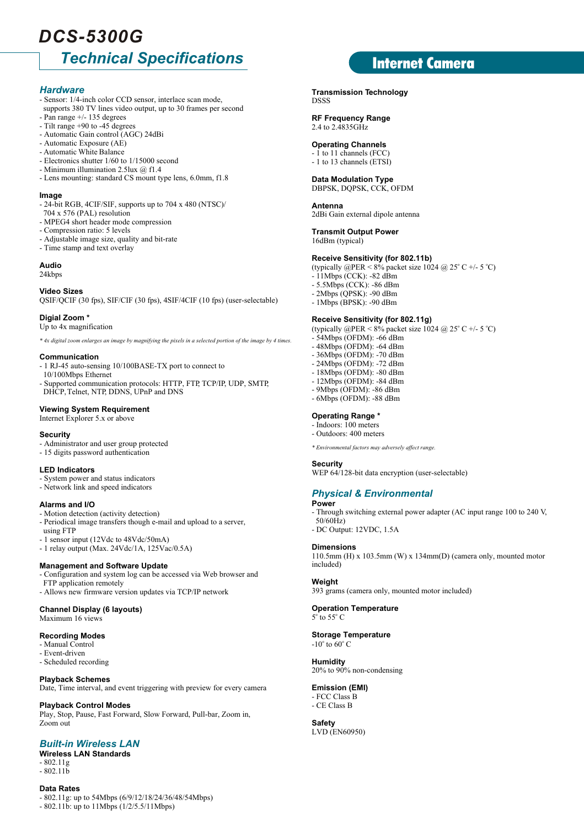### *Technical Specifications DCS-5300G*

### *Hardware*

- Sensor: 1/4-inch color CCD sensor, interlace scan mode,
- supports 380 TV lines video output, up to 30 frames per second - Pan range +/- 135 degrees
- Tilt range +90 to -45 degrees
- Automatic Gain control (AGC) 24dBi
- Automatic Exposure (AE)
- Automatic White Balance
- Electronics shutter 1/60 to 1/15000 second
- Minimum illumination 2.5lux @ f1.4 - Lens mounting: standard CS mount type lens, 6.0mm, f1.8

### **Image**

- 24-bit RGB, 4CIF/SIF, supports up to 704 x 480 (NTSC)/
- 704 x 576 (PAL) resolution
- MPEG4 short header mode compression
- Compression ratio: 5 levels
- Adjustable image size, quality and bit-rate
- Time stamp and text overlay

### **Audio**

24kbps

**Video Sizes**

QSIF/QCIF (30 fps), SIF/CIF (30 fps), 4SIF/4CIF (10 fps) (user-selectable)

### **Digial Zoom \***

Up to 4x magnification

*\* 4x digital zoom enlarges an image by magnifying the pixels in a selected portion of the image by 4 times.*

#### **Communication**

- 1 RJ-45 auto-sensing 10/100BASE-TX port to connect to 10/100Mbps Ethernet
- Supported communication protocols: HTTP, FTP, TCP/IP, UDP, SMTP, DHCP, Telnet, NTP, DDNS, UPnP and DNS

### **Viewing System Requirement**

Internet Explorer 5.x or above

#### **Security**

- Administrator and user group protected
- 15 digits password authentication

#### **LED Indicators**

- System power and status indicators
- Network link and speed indicators

### **Alarms and I/O**

- Motion detection (activity detection)
- Periodical image transfers though e-mail and upload to a server, using FTP
- 1 sensor input (12Vdc to 48Vdc/50mA)
- 1 relay output (Max. 24Vdc/1A, 125Vac/0.5A)

### **Management and Software Update**

- Configuration and system log can be accessed via Web browser and FTP application remotely
- Allows new firmware version updates via TCP/IP network

### **Channel Display (6 layouts)**

Maximum 16 views

### **Recording Modes**

- Manual Control
- Event-driven
- Scheduled recording

### **Playback Schemes**

Date, Time interval, and event triggering with preview for every camera

### **Playback Control Modes**

Play, Stop, Pause, Fast Forward, Slow Forward, Pull-bar, Zoom in, Zoom out

### *Built-in Wireless LAN*

- **Wireless LAN Standards**  $-802.11g$
- $-802.11<sub>b</sub>$

### **Data Rates**

- 802.11g: up to 54Mbps (6/9/12/18/24/36/48/54Mbps)

- 802.11b: up to 11Mbps (1/2/5.5/11Mbps)

### Internet Camera

**Transmission Technology** DSSS

### **RF Frequency Range**

2.4 to 2.4835GHz

### **Operating Channels**

- 1 to 11 channels (FCC) - 1 to 13 channels (ETSI)

### **Data Modulation Type**

DBPSK, DQPSK, CCK, OFDM

### **Antenna**

2dBi Gain external dipole antenna

### **Transmit Output Power**

16dBm (typical)

### **Receive Sensitivity (for 802.11b)**

(typically  $\widehat{\omega}$ PER < 8% packet size 1024  $\widehat{\omega}$  25° C +/- 5 °C)

- $-11$ Mbps (CCK): -82 dBm
- 5.5Mbps (CCK): -86 dBm
- 2Mbps (QPSK): -90 dBm
- 1Mbps (BPSK): -90 dBm

### **Receive Sensitivity (for 802.11g)**

(typically  $\omega$ PER < 8% packet size 1024  $\omega$  25° C +/- 5 °C) - 54Mbps (OFDM): -66 dBm - 48Mbps (OFDM): -64 dBm - 36Mbps (OFDM): -70 dBm - 24Mbps (OFDM): -72 dBm - 18Mbps (OFDM): -80 dBm - 12Mbps (OFDM): -84 dBm - 9Mbps (OFDM): -86 dBm - 6Mbps (OFDM): -88 dBm **Operating Range \***

### - Indoors: 100 meters

- Outdoors: 400 meters

*\* Environmental factors may adversely affect range.*

### **Security**

WEP 64/128-bit data encryption (user-selectable)

### *Physical & Environmental*

### **Power**

- Through switching external power adapter (AC input range 100 to 240 V, 50/60Hz)
- DC Output: 12VDC, 1.5A

### **Dimensions**

110.5mm (H) x 103.5mm (W) x 134mm(D) (camera only, mounted motor included)

### **Weight**

393 grams (camera only, mounted motor included)

#### **Operation Temperature**  $5^\circ$  to  $55^\circ$  C

**Storage Temperature**  $-10^\circ$  to 60 $^\circ$  C

### **Humidity**

20% to 90% non-condensing

### **Emission (EMI)**

- FCC Class B - CE Class B

**Safety** LVD (EN60950)